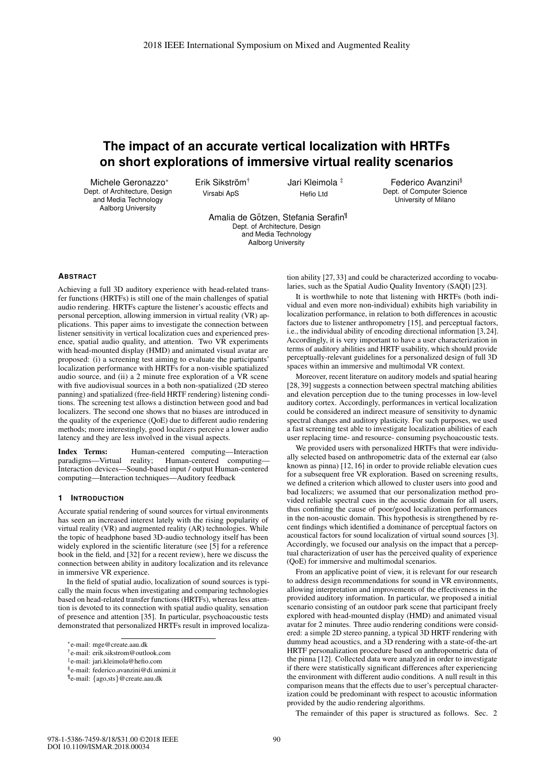# **The impact of an accurate vertical localization with HRTFs on short explorations of immersive virtual reality scenarios**

Michele Geronazzo\* Dept. of Architecture, Design and Media Technology Aalborg University

Erik Sikström<sup>†</sup> Virsabi ApS

Jari Kleimola ‡ Hefio Ltd

Federico Avanzini§ Dept. of Computer Science University of Milano

Amalia de Götzen, Stefania Serafin<sup>¶</sup> Dept. of Architecture, Design .<br>and Media Technology Aalborg University

## **ABSTRACT**

Achieving a full 3D auditory experience with head-related transfer functions (HRTFs) is still one of the main challenges of spatial audio rendering. HRTFs capture the listener's acoustic effects and personal perception, allowing immersion in virtual reality (VR) applications. This paper aims to investigate the connection between listener sensitivity in vertical localization cues and experienced presence, spatial audio quality, and attention. Two VR experiments with head-mounted display (HMD) and animated visual avatar are proposed: (i) a screening test aiming to evaluate the participants' localization performance with HRTFs for a non-visible spatialized audio source, and (ii) a 2 minute free exploration of a VR scene with five audiovisual sources in a both non-spatialized (2D stereo panning) and spatialized (free-field HRTF rendering) listening conditions. The screening test allows a distinction between good and bad localizers. The second one shows that no biases are introduced in the quality of the experience (QoE) due to different audio rendering methods; more interestingly, good localizers perceive a lower audio latency and they are less involved in the visual aspects.

Index Terms: Human-centered computing—Interaction paradigms—Virtual reality; Human-centered computing— Interaction devices—Sound-based input / output Human-centered computing—Interaction techniques—Auditory feedback

#### **1 INTRODUCTION**

Accurate spatial rendering of sound sources for virtual environments has seen an increased interest lately with the rising popularity of virtual reality (VR) and augmented reality (AR) technologies. While the topic of headphone based 3D-audio technology itself has been widely explored in the scientific literature (see [5] for a reference book in the field, and [32] for a recent review), here we discuss the connection between ability in auditory localization and its relevance in immersive VR experience.

In the field of spatial audio, localization of sound sources is typically the main focus when investigating and comparing technologies based on head-related transfer functions (HRTFs), whereas less attention is devoted to its connection with spatial audio quality, sensation of presence and attention [35]. In particular, psychoacoustic tests demonstrated that personalized HRTFs result in improved localization ability [27, 33] and could be characterized according to vocabularies, such as the Spatial Audio Quality Inventory (SAQI) [23].

It is worthwhile to note that listening with HRTFs (both individual and even more non-individual) exhibits high variability in localization performance, in relation to both differences in acoustic factors due to listener anthropometry [15], and perceptual factors, i.e., the individual ability of encoding directional information [3, 24]. Accordingly, it is very important to have a user characterization in terms of auditory abilities and HRTF usability, which should provide perceptually-relevant guidelines for a personalized design of full 3D spaces within an immersive and multimodal VR context.

Moreover, recent literature on auditory models and spatial hearing [28, 39] suggests a connection between spectral matching abilities and elevation perception due to the tuning processes in low-level auditory cortex. Accordingly, performances in vertical localization could be considered an indirect measure of sensitivity to dynamic spectral changes and auditory plasticity. For such purposes, we used a fast screening test able to investigate localization abilities of each user replacing time- and resource- consuming psychoacoustic tests.

We provided users with personalized HRTFs that were individually selected based on anthropometric data of the external ear (also known as pinna) [12, 16] in order to provide reliable elevation cues for a subsequent free VR exploration. Based on screening results, we defined a criterion which allowed to cluster users into good and bad localizers; we assumed that our personalization method provided reliable spectral cues in the acoustic domain for all users, thus confining the cause of poor/good localization performances in the non-acoustic domain. This hypothesis is strengthened by recent findings which identified a dominance of perceptual factors on acoustical factors for sound localization of virtual sound sources [3]. Accordingly, we focused our analysis on the impact that a perceptual characterization of user has the perceived quality of experience (QoE) for immersive and multimodal scenarios.

From an applicative point of view, it is relevant for our research to address design recommendations for sound in VR environments, allowing interpretation and improvements of the effectiveness in the provided auditory information. In particular, we proposed a initial scenario consisting of an outdoor park scene that participant freely explored with head-mounted display (HMD) and animated visual avatar for 2 minutes. Three audio rendering conditions were considered: a simple 2D stereo panning, a typical 3D HRTF rendering with dummy head acoustics, and a 3D rendering with a state-of-the-art HRTF personalization procedure based on anthropometric data of the pinna [12]. Collected data were analyzed in order to investigate if there were statistically significant differences after experiencing the environment with different audio conditions. A null result in this comparison means that the effects due to user's perceptual characterization could be predominant with respect to acoustic information provided by the audio rendering algorithms.

The remainder of this paper is structured as follows. Sec. 2

<sup>\*</sup>e-mail: mge@create.aau.dk

<sup>†</sup>e-mail: erik.sikstrom@outlook.com

<sup>‡</sup>e-mail: jari.kleimola@hefio.com

<sup>§</sup>e-mail: federico.avanzini@di.unimi.it

<sup>¶</sup>e-mail: {ago,sts}@create.aau.dk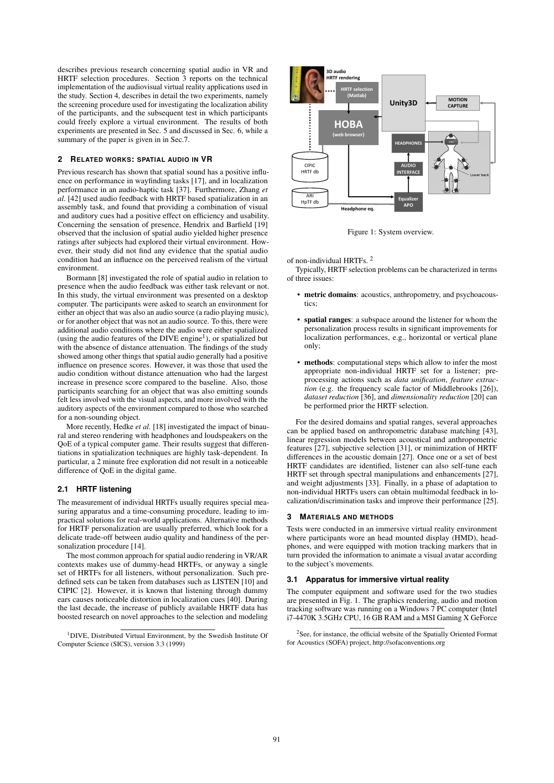describes previous research concerning spatial audio in VR and HRTF selection procedures. Section 3 reports on the technical implementation of the audiovisual virtual reality applications used in the study. Section 4, describes in detail the two experiments, namely the screening procedure used for investigating the localization ability of the participants, and the subsequent test in which participants could freely explore a virtual environment. The results of both experiments are presented in Sec. 5 and discussed in Sec. 6, while a summary of the paper is given in in Sec.7.

# **2 RELATED WORKS: SPATIAL AUDIO IN VR**

Previous research has shown that spatial sound has a positive influence on performance in wayfinding tasks [17], and in localization performance in an audio-haptic task [37]. Furthermore, Zhang *et al.* [42] used audio feedback with HRTF based spatialization in an assembly task, and found that providing a combination of visual and auditory cues had a positive effect on efficiency and usability. Concerning the sensation of presence, Hendrix and Barfield [19] observed that the inclusion of spatial audio yielded higher presence ratings after subjects had explored their virtual environment. However, their study did not find any evidence that the spatial audio condition had an influence on the perceived realism of the virtual environment.

Bormann [8] investigated the role of spatial audio in relation to presence when the audio feedback was either task relevant or not. In this study, the virtual environment was presented on a desktop computer. The participants were asked to search an environment for either an object that was also an audio source (a radio playing music), or for another object that was not an audio source. To this, there were additional audio conditions where the audio were either spatialized (using the audio features of the DIVE engine<sup>1</sup>), or spatialized but with the absence of distance attenuation. The findings of the study showed among other things that spatial audio generally had a positive influence on presence scores. However, it was those that used the audio condition without distance attenuation who had the largest increase in presence score compared to the baseline. Also, those participants searching for an object that was also emitting sounds felt less involved with the visual aspects, and more involved with the auditory aspects of the environment compared to those who searched for a non-sounding object.

More recently, Hedke *et al.* [18] investigated the impact of binaural and stereo rendering with headphones and loudspeakers on the QoE of a typical computer game. Their results suggest that differentiations in spatialization techniques are highly task-dependent. In particular, a 2 minute free exploration did not result in a noticeable difference of QoE in the digital game.

## **2.1 HRTF listening**

The measurement of individual HRTFs usually requires special measuring apparatus and a time-consuming procedure, leading to impractical solutions for real-world applications. Alternative methods for HRTF personalization are usually preferred, which look for a delicate trade-off between audio quality and handiness of the personalization procedure [14].

The most common approach for spatial audio rendering in VR/AR contexts makes use of dummy-head HRTFs, or anyway a single set of HRTFs for all listeners, without personalization. Such predefined sets can be taken from databases such as LISTEN [10] and CIPIC [2]. However, it is known that listening through dummy ears causes noticeable distortion in localization cues [40]. During the last decade, the increase of publicly available HRTF data has boosted research on novel approaches to the selection and modeling

1DIVE, Distributed Virtual Environment, by the Swedish Institute Of Computer Science (SICS), version 3.3 (1999)



Figure 1: System overview.

#### of non-individual HRTFs. <sup>2</sup>

Typically, HRTF selection problems can be characterized in terms of three issues:

- metric domains: acoustics, anthropometry, and psychoacoustics;
- spatial ranges: a subspace around the listener for whom the personalization process results in significant improvements for localization performances, e.g., horizontal or vertical plane only;
- methods: computational steps which allow to infer the most appropriate non-individual HRTF set for a listener; preprocessing actions such as *data unification*, *feature extraction* (e.g. the frequency scale factor of Middlebrooks [26]), *dataset reduction* [36], and *dimensionality reduction* [20] can be performed prior the HRTF selection.

For the desired domains and spatial ranges, several approaches can be applied based on anthropometric database matching [43], linear regression models between acoustical and anthropometric features [27], subjective selection [31], or minimization of HRTF differences in the acoustic domain [27]. Once one or a set of best HRTF candidates are identified, listener can also self-tune each HRTF set through spectral manipulations and enhancements [27], and weight adjustments [33]. Finally, in a phase of adaptation to non-individual HRTFs users can obtain multimodal feedback in localization/discrimination tasks and improve their performance [25].

#### **3 MATERIALS AND METHODS**

Tests were conducted in an immersive virtual reality environment where participants wore an head mounted display (HMD), headphones, and were equipped with motion tracking markers that in turn provided the information to animate a visual avatar according to the subject's movements.

#### **3.1 Apparatus for immersive virtual reality**

The computer equipment and software used for the two studies are presented in Fig. 1. The graphics rendering, audio and motion tracking software was running on a Windows 7 PC computer (Intel i7-4470K 3.5GHz CPU, 16 GB RAM and a MSI Gaming X GeForce

2See, for instance, the official website of the Spatially Oriented Format for Acoustics (SOFA) project, http://sofaconventions.org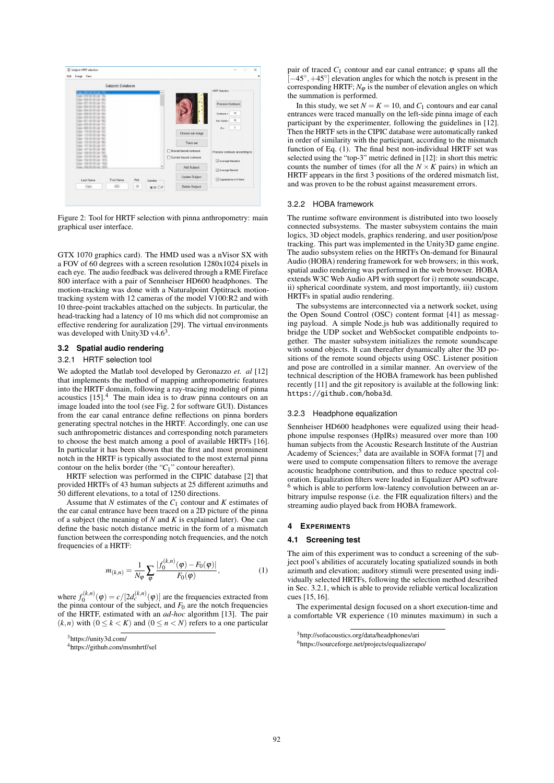

Figure 2: Tool for HRTF selection with pinna anthropometry: main graphical user interface.

GTX 1070 graphics card). The HMD used was a nVisor SX with a FOV of 60 degrees with a screen resolution 1280x1024 pixels in each eye. The audio feedback was delivered through a RME Fireface 800 interface with a pair of Sennheiser HD600 headphones. The motion-tracking was done with a Naturalpoint Optitrack motiontracking system with 12 cameras of the model V100:R2 and with 10 three-point trackables attached on the subjects. In particular, the head-tracking had a latency of 10 ms which did not compromise an effective rendering for auralization [29]. The virtual environments was developed with Unity3D  $v4.6<sup>3</sup>$ .

# **3.2 Spatial audio rendering**

# 3.2.1 HRTF selection tool

We adopted the Matlab tool developed by Geronazzo *et. al* [12] that implements the method of mapping anthropometric features into the HRTF domain, following a ray-tracing modeling of pinna acoustics  $[15]$ .<sup>4</sup> The main idea is to draw pinna contours on an image loaded into the tool (see Fig. 2 for software GUI). Distances from the ear canal entrance define reflections on pinna borders generating spectral notches in the HRTF. Accordingly, one can use such anthropometric distances and corresponding notch parameters to choose the best match among a pool of available HRTFs [16]. In particular it has been shown that the first and most prominent notch in the HRTF is typically associated to the most external pinna contour on the helix border (the "*C*1" contour hereafter).

HRTF selection was performed in the CIPIC database [2] that provided HRTFs of 43 human subjects at 25 different azimuths and 50 different elevations, to a total of 1250 directions.

Assume that *N* estimates of the *C*<sup>1</sup> contour and *K* estimates of the ear canal entrance have been traced on a 2D picture of the pinna of a subject (the meaning of *N* and *K* is explained later). One can define the basic notch distance metric in the form of a mismatch function between the corresponding notch frequencies, and the notch frequencies of a HRTF:

$$
m_{(k,n)} = \frac{1}{N_{\varphi}} \sum_{\varphi} \frac{|f_0^{(k,n)}(\varphi) - F_0(\varphi)|}{F_0(\varphi)},
$$
(1)

where  $f_0^{(k,n)}(\varphi) = c/[2d_c^{(k,n)}(\varphi)]$  are the frequencies extracted from the pinna contour of the subject, and  $F_0$  are the notch frequencies of the HRTF, estimated with an *ad-hoc* algorithm [13]. The pair  $(k, n)$  with  $(0 \le k < K)$  and  $(0 \le n < N)$  refers to a one particular

pair of traced  $C_1$  contour and ear canal entrance;  $\varphi$  spans all the  $[-45^\circ, +45^\circ]$  elevation angles for which the notch is present in the corresponding HRTF;  $N_{\varphi}$  is the number of elevation angles on which the summation is performed.

In this study, we set  $N = K = 10$ , and  $C_1$  contours and ear canal entrances were traced manually on the left-side pinna image of each participant by the experimenter, following the guidelines in [12]. Then the HRTF sets in the CIPIC database were automatically ranked in order of similarity with the participant, according to the mismatch function of Eq. (1). The final best non-individual HRTF set was selected using the "top-3" metric defined in [12]: in short this metric counts the number of times (for all the  $N \times K$  pairs) in which an HRTF appears in the first 3 positions of the ordered mismatch list, and was proven to be the robust against measurement errors.

# 3.2.2 HOBA framework

The runtime software environment is distributed into two loosely connected subsystems. The master subsystem contains the main logics, 3D object models, graphics rendering, and user position/pose tracking. This part was implemented in the Unity3D game engine. The audio subsystem relies on the HRTFs On-demand for Binaural Audio (HOBA) rendering framework for web browsers; in this work, spatial audio rendering was performed in the web browser. HOBA extends W3C Web Audio API with support for i) remote soundscape, ii) spherical coordinate system, and most importantly, iii) custom HRTFs in spatial audio rendering.

The subsystems are interconnected via a network socket, using the Open Sound Control (OSC) content format [41] as messaging payload. A simple Node.js hub was additionally required to bridge the UDP socket and WebSocket compatible endpoints together. The master subsystem initializes the remote soundscape with sound objects. It can thereafter dynamically alter the 3D positions of the remote sound objects using OSC. Listener position and pose are controlled in a similar manner. An overview of the technical description of the HOBA framework has been published recently [11] and the git repository is available at the following link: https://github.com/hoba3d.

#### 3.2.3 Headphone equalization

Sennheiser HD600 headphones were equalized using their headphone impulse responses (HpIRs) measured over more than 100 human subjects from the Acoustic Research Institute of the Austrian Academy of Sciences;<sup>5</sup> data are available in SOFA format [7] and were used to compute compensation filters to remove the average acoustic headphone contribution, and thus to reduce spectral coloration. Equalization filters were loaded in Equalizer APO software  $<sup>6</sup>$  which is able to perform low-latency convolution between an ar-</sup> bitrary impulse response (i.e. the FIR equalization filters) and the streaming audio played back from HOBA framework.

#### **4 EXPERIMENTS**

#### **4.1 Screening test**

The aim of this experiment was to conduct a screening of the subject pool's abilities of accurately locating spatialized sounds in both azimuth and elevation; auditory stimuli were presented using individually selected HRTFs, following the selection method described in Sec. 3.2.1, which is able to provide reliable vertical localization cues [15, 16].

The experimental design focused on a short execution-time and a comfortable VR experience (10 minutes maximum) in such a

<sup>3</sup>https://unity3d.com/

<sup>4</sup>https://github.com/msmhrtf/sel

<sup>5</sup>http://sofacoustics.org/data/headphones/ari

<sup>6</sup>https://sourceforge.net/projects/equalizerapo/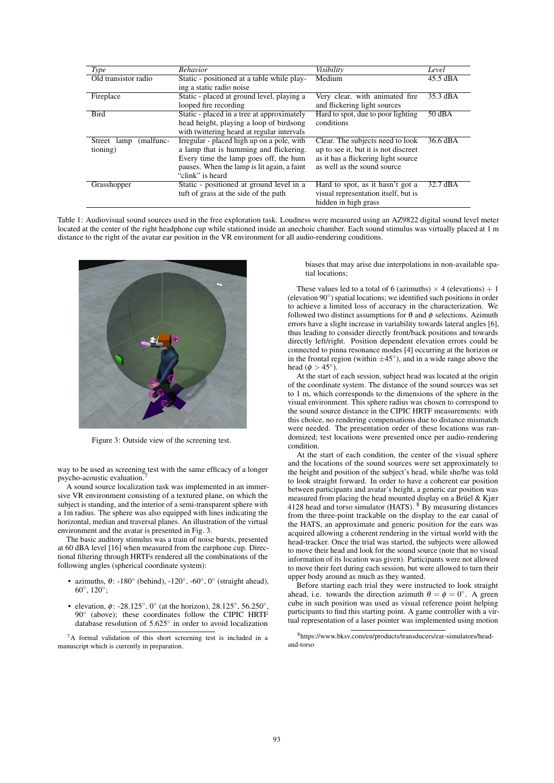| <b>Type</b>              | <b>Behavior</b>                             | Visibility                           | Level              |
|--------------------------|---------------------------------------------|--------------------------------------|--------------------|
| Old transistor radio     | Static - positioned at a table while play-  | Medium                               | 45.5 dBA           |
|                          | ing a static radio noise                    |                                      |                    |
| Fireplace                | Static - placed at ground level, playing a  | Very clear, with animated fire       | $35.3 \text{ dBA}$ |
|                          | looped fire recording                       | and flickering light sources         |                    |
| <b>Bird</b>              | Static - placed in a tree at approximately  | Hard to spot, due to poor lighting   | 50 dBA             |
|                          | head height, playing a loop of birdsong     | conditions                           |                    |
|                          | with twittering heard at regular intervals  |                                      |                    |
| (malfunc-<br>Street lamp | Irregular - placed high up on a pole, with  | Clear. The subjects need to look     | 36.6 dBA           |
| tioning)                 | a lamp that is humming and flickering.      | up to see it, but it is not discreet |                    |
|                          | Every time the lamp goes off, the hum       | as it has a flickering light source  |                    |
|                          | pauses. When the lamp is lit again, a faint | as well as the sound source          |                    |
|                          | "clink" is heard                            |                                      |                    |
| Grasshopper              | Static - positioned at ground level in a    | Hard to spot, as it hasn't got a     | 32.7 dBA           |
|                          | tuft of grass at the side of the path       | visual representation itself, but is |                    |
|                          |                                             | hidden in high grass                 |                    |

Table 1: Audiovisual sound sources used in the free exploration task. Loudness were measured using an AZ9822 digital sound level meter located at the center of the right headphone cup while stationed inside an anechoic chamber. Each sound stimulus was virtually placed at 1 m distance to the right of the avatar ear position in the VR environment for all audio-rendering conditions.



Figure 3: Outside view of the screening test.

way to be used as screening test with the same efficacy of a longer psycho-acoustic evaluation.<sup>7</sup>

A sound source localization task was implemented in an immersive VR environment consisting of a textured plane, on which the subject is standing, and the interior of a semi-transparent sphere with a 1m radius. The sphere was also equipped with lines indicating the horizontal, median and traversal planes. An illustration of the virtual environment and the avatar is presented in Fig. 3.

The basic auditory stimulus was a train of noise bursts, presented at 60 dBA level [16] when measured from the earphone cup. Directional filtering through HRTFs rendered all the combinations of the following angles (spherical coordinate system):

- azimuths,  $\theta$ : -180 $\degree$  (behind), -120 $\degree$ , -60 $\degree$ , 0 $\degree$  (straight ahead), 60◦, 120◦;
- elevation,  $\phi$ : -28.125°, 0° (at the horizon), 28.125°, 56.250°, 90° (above); these coordinates follow the CIPIC HRTF database resolution of 5.625◦ in order to avoid localization

7A formal validation of this short screening test is included in a manuscript which is currently in preparation.

biases that may arise due interpolations in non-available spatial locations;

These values led to a total of 6 (azimuths)  $\times$  4 (elevations) + 1 (elevation 90◦) spatial locations; we identified such positions in order to achieve a limited loss of accuracy in the characterization. We followed two distinct assumptions for  $\theta$  and  $\phi$  selections. Azimuth errors have a slight increase in variability towards lateral angles [6], thus leading to consider directly front/back positions and towards directly left/right. Position dependent elevation errors could be connected to pinna resonance modes [4] occurring at the horizon or in the frontal region (within  $\pm 45^\circ$ ), and in a wide range above the head ( $\phi > 45^{\circ}$ ).

At the start of each session, subject head was located at the origin of the coordinate system. The distance of the sound sources was set to 1 m, which corresponds to the dimensions of the sphere in the visual environment. This sphere radius was chosen to correspond to the sound source distance in the CIPIC HRTF measurements: with this choice, no rendering compensations due to distance mismatch were needed. The presentation order of these locations was randomized; test locations were presented once per audio-rendering condition.

At the start of each condition, the center of the visual sphere and the locations of the sound sources were set approximately to the height and position of the subject's head, while she/he was told to look straight forward. In order to have a coherent ear position between participants and avatar's height, a generic ear position was measured from placing the head mounted display on a Brüel  $&$  Kjær 4128 head and torso simulator  $(HATS)$ . <sup>8</sup> By measuring distances from the three-point trackable on the display to the ear canal of the HATS, an approximate and generic position for the ears was acquired allowing a coherent rendering in the virtual world with the head-tracker. Once the trial was started, the subjects were allowed to move their head and look for the sound source (note that no visual information of its location was given). Participants were not allowed to move their feet during each session, but were allowed to turn their upper body around as much as they wanted.

Before starting each trial they were instructed to look straight ahead, i.e. towards the direction azimuth  $\theta = \phi = 0^\circ$ . A green cube in such position was used as visual reference point helping participants to find this starting point. A game controller with a virtual representation of a laser pointer was implemented using motion

8https://www.bksv.com/en/products/transducers/ear-simulators/headand-torso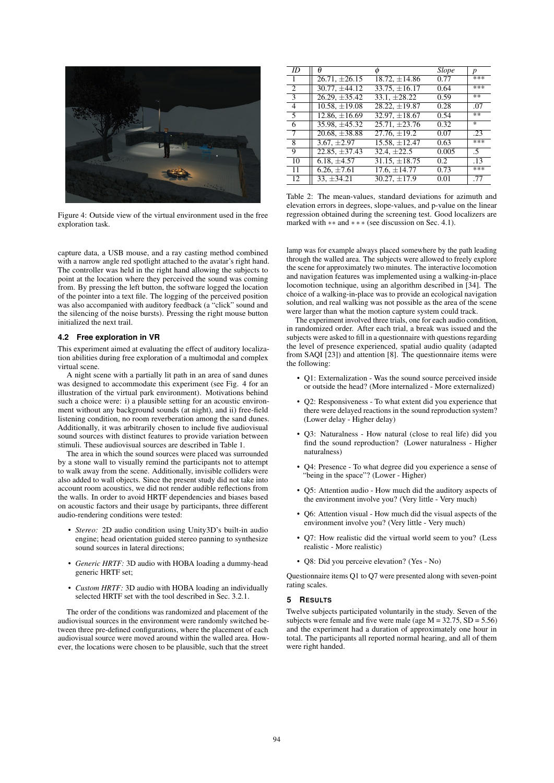

Figure 4: Outside view of the virtual environment used in the free exploration task.

capture data, a USB mouse, and a ray casting method combined with a narrow angle red spotlight attached to the avatar's right hand. The controller was held in the right hand allowing the subjects to point at the location where they perceived the sound was coming from. By pressing the left button, the software logged the location of the pointer into a text file. The logging of the perceived position was also accompanied with auditory feedback (a "click" sound and the silencing of the noise bursts). Pressing the right mouse button initialized the next trail.

## **4.2 Free exploration in VR**

This experiment aimed at evaluating the effect of auditory localization abilities during free exploration of a multimodal and complex virtual scene.

A night scene with a partially lit path in an area of sand dunes was designed to accommodate this experiment (see Fig. 4 for an illustration of the virtual park environment). Motivations behind such a choice were: i) a plausible setting for an acoustic environment without any background sounds (at night), and ii) free-field listening condition, no room reverberation among the sand dunes. Additionally, it was arbitrarily chosen to include five audiovisual sound sources with distinct features to provide variation between stimuli. These audiovisual sources are described in Table 1.

The area in which the sound sources were placed was surrounded by a stone wall to visually remind the participants not to attempt to walk away from the scene. Additionally, invisible colliders were also added to wall objects. Since the present study did not take into account room acoustics, we did not render audible reflections from the walls. In order to avoid HRTF dependencies and biases based on acoustic factors and their usage by participants, three different audio-rendering conditions were tested:

- *Stereo:* 2D audio condition using Unity3D's built-in audio engine; head orientation guided stereo panning to synthesize sound sources in lateral directions;
- *Generic HRTF:* 3D audio with HOBA loading a dummy-head generic HRTF set;
- *Custom HRTF:* 3D audio with HOBA loading an individually selected HRTF set with the tool described in Sec. 3.2.1.

The order of the conditions was randomized and placement of the audiovisual sources in the environment were randomly switched between three pre-defined configurations, where the placement of each audiovisual source were moved around within the walled area. However, the locations were chosen to be plausible, such that the street

| ID             | Ĥ                  |                    | Slope         | p    |
|----------------|--------------------|--------------------|---------------|------|
| $\overline{1}$ | $26.71, \pm 26.15$ | $18.72, \pm 14.86$ | 0.77          | ***  |
| $\overline{2}$ | $30.77, \pm 44.12$ | $33.75, \pm 16.17$ | 0.64          | ***  |
| $\overline{3}$ | $26.29, \pm 35.42$ | $33.1. \pm 28.22$  | 0.59          | $**$ |
| $\overline{4}$ | $10.58, \pm 19.08$ | $28.22 \pm 19.87$  | 0.28          | .07  |
| $\overline{5}$ | $12.86, \pm 16.69$ | $32.97, \pm 18.67$ | 0.54          | **   |
| 6              | $35.98 \pm 45.32$  | $25.71, \pm 23.76$ | 0.32          | *    |
| 7              | $20.68, \pm 38.88$ | $27.76, \pm 19.2$  | 0.07          | .23  |
| -8             | $3.67, \pm 2.97$   | $15.58, \pm 12.47$ | 0.63          | ***  |
| 9              | $22.85, \pm 37.43$ | $32.4. \pm 22.5$   | 0.005         | .5   |
| 10             | $6.18, \pm 4.57$   | $31.15, \pm 18.75$ | $0.2^{\circ}$ | .13  |
| -11            | $6.26, \pm 7.61$   | $17.6, \pm 14.77$  | 0.73          | ***  |
| 12             | $33, \pm 34.21$    | $30.27, \pm 17.9$  | 0.01          | .77  |

Table 2: The mean-values, standard deviations for azimuth and elevation errors in degrees, slope-values, and p-value on the linear regression obtained during the screening test. Good localizers are marked with ∗∗ and ∗∗∗ (see discussion on Sec. 4.1).

lamp was for example always placed somewhere by the path leading through the walled area. The subjects were allowed to freely explore the scene for approximately two minutes. The interactive locomotion and navigation features was implemented using a walking-in-place locomotion technique, using an algorithm described in [34]. The choice of a walking-in-place was to provide an ecological navigation solution, and real walking was not possible as the area of the scene were larger than what the motion capture system could track.

The experiment involved three trials, one for each audio condition, in randomized order. After each trial, a break was issued and the subjects were asked to fill in a questionnaire with questions regarding the level of presence experienced, spatial audio quality (adapted from SAQI [23]) and attention [8]. The questionnaire items were the following:

- Q1: Externalization Was the sound source perceived inside or outside the head? (More internalized - More externalized)
- Q2: Responsiveness To what extent did you experience that there were delayed reactions in the sound reproduction system? (Lower delay - Higher delay)
- Q3: Naturalness How natural (close to real life) did you find the sound reproduction? (Lower naturalness - Higher naturalness)
- Q4: Presence To what degree did you experience a sense of "being in the space"? (Lower - Higher)
- Q5: Attention audio How much did the auditory aspects of the environment involve you? (Very little - Very much)
- Q6: Attention visual How much did the visual aspects of the environment involve you? (Very little - Very much)
- Q7: How realistic did the virtual world seem to you? (Less realistic - More realistic)
- O8: Did you perceive elevation? (Yes No)

Questionnaire items Q1 to Q7 were presented along with seven-point rating scales.

#### **5 RESULTS**

Twelve subjects participated voluntarily in the study. Seven of the subjects were female and five were male (age  $M = 32.75$ ,  $SD = 5.56$ ) and the experiment had a duration of approximately one hour in total. The participants all reported normal hearing, and all of them were right handed.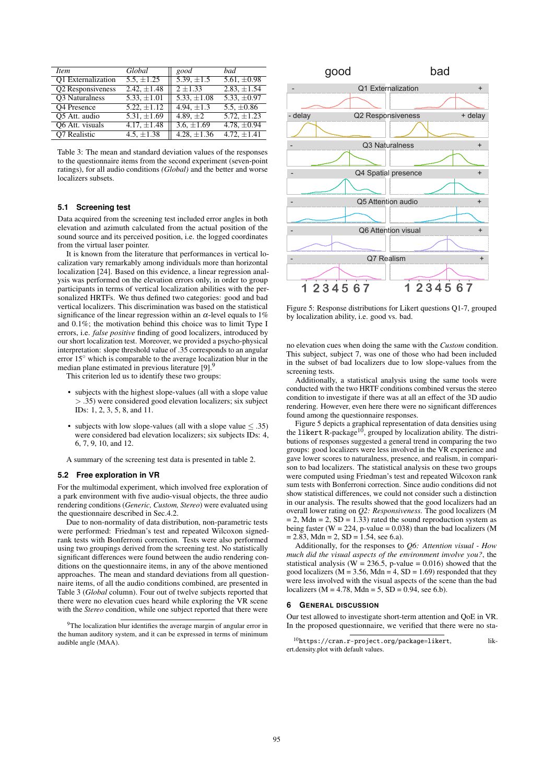| <i>Item</i>               | Global           | good             | bad              |
|---------------------------|------------------|------------------|------------------|
| <b>O1</b> Externalization | $5.5, \pm 1.25$  | 5.39, $\pm 1.5$  | 5.61, $\pm 0.98$ |
| Q2 Responsiveness         | 2.42, $\pm 1.48$ | $2 \pm 1.33$     | $2.83, \pm 1.54$ |
| <b>O3</b> Naturalness     | $5.33, \pm 1.01$ | 5.33, $\pm 1.08$ | 5.33, $\pm 0.97$ |
| <b>O4</b> Presence        | $5.22, \pm 1.12$ | 4.94, $\pm 1.3$  | 5.5, $\pm 0.86$  |
| O5 Att. audio             | 5.31, $\pm 1.69$ | 4.89, $\pm 2$    | $5.72, \pm 1.23$ |
| Q6 Att. visuals           | 4.17, $\pm 1.48$ | 3.6, $\pm 1.69$  | 4.78, $\pm 0.94$ |
| O7 Realistic              | 4.5, $\pm 1.38$  | 4.28, $\pm 1.36$ | 4.72, $\pm 1.41$ |
|                           |                  |                  |                  |

Table 3: The mean and standard deviation values of the responses to the questionnaire items from the second experiment (seven-point ratings), for all audio conditions *(Global)* and the better and worse localizers subsets.

# **5.1 Screening test**

Data acquired from the screening test included error angles in both elevation and azimuth calculated from the actual position of the sound source and its perceived position, i.e. the logged coordinates from the virtual laser pointer.

It is known from the literature that performances in vertical localization vary remarkably among individuals more than horizontal localization [24]. Based on this evidence, a linear regression analysis was performed on the elevation errors only, in order to group participants in terms of vertical localization abilities with the personalized HRTFs. We thus defined two categories: good and bad vertical localizers. This discrimination was based on the statistical significance of the linear regression within an  $\alpha$ -level equals to 1% and 0.1%; the motivation behind this choice was to limit Type I errors, i.e. *false positive* finding of good localizers, introduced by our short localization test. Moreover, we provided a psycho-physical interpretation: slope threshold value of .35 corresponds to an angular error  $15°$  which is comparable to the average localization blur in the median plane estimated in previous literature [9].<sup>9</sup>

This criterion led us to identify these two groups:

- subjects with the highest slope-values (all with a slope value > .35) were considered good elevation localizers; six subject IDs: 1, 2, 3, 5, 8, and 11.
- subjects with low slope-values (all with a slope value  $\leq$  .35) were considered bad elevation localizers; six subjects IDs: 4, 6, 7, 9, 10, and 12.

A summary of the screening test data is presented in table 2.

# **5.2 Free exploration in VR**

For the multimodal experiment, which involved free exploration of a park environment with five audio-visual objects, the three audio rendering conditions (*Generic, Custom, Stereo*) were evaluated using the questionnaire described in Sec.4.2.

Due to non-normality of data distribution, non-parametric tests were performed: Friedman's test and repeated Wilcoxon signedrank tests with Bonferroni correction. Tests were also performed using two groupings derived from the screening test. No statistically significant differences were found between the audio rendering conditions on the questionnaire items, in any of the above mentioned approaches. The mean and standard deviations from all questionnaire items, of all the audio conditions combined, are presented in Table 3 (*Global* column). Four out of twelve subjects reported that there were no elevation cues heard while exploring the VR scene with the *Stereo* condition, while one subject reported that there were



Figure 5: Response distributions for Likert questions Q1-7, grouped by localization ability, i.e. good vs. bad.

no elevation cues when doing the same with the *Custom* condition. This subject, subject 7, was one of those who had been included in the subset of bad localizers due to low slope-values from the screening tests.

Additionally, a statistical analysis using the same tools were conducted with the two HRTF conditions combined versus the stereo condition to investigate if there was at all an effect of the 3D audio rendering. However, even here there were no significant differences found among the questionnaire responses.

Figure 5 depicts a graphical representation of data densities using<br>the likert R-package<sup>10</sup>, grouped by localization ability. The distributions of responses suggested a general trend in comparing the two groups: good localizers were less involved in the VR experience and gave lower scores to naturalness, presence, and realism, in comparison to bad localizers. The statistical analysis on these two groups were computed using Friedman's test and repeated Wilcoxon rank sum tests with Bonferroni correction. Since audio conditions did not show statistical differences, we could not consider such a distinction in our analysis. The results showed that the good localizers had an overall lower rating on *Q2: Responsiveness*. The good localizers (M  $= 2$ , Mdn  $= 2$ , SD  $= 1.33$ ) rated the sound reproduction system as being faster ( $W = 224$ , p-value = 0.038) than the bad localizers (M  $= 2.83$ , Mdn  $= 2$ , SD  $= 1.54$ , see 6.a).

Additionally, for the responses to *Q6: Attention visual - How much did the visual aspects of the environment involve you?*, the statistical analysis ( $W = 236.5$ , p-value = 0.016) showed that the good localizers ( $M = 3.56$ ,  $Mdn = 4$ ,  $SD = 1.69$ ) responded that they were less involved with the visual aspects of the scene than the bad localizers ( $M = 4.78$ ,  $Mdn = 5$ ,  $SD = 0.94$ , see 6.b).

#### **6 GENERAL DISCUSSION**

Our test allowed to investigate short-term attention and QoE in VR. In the proposed questionnaire, we verified that there were no sta-

<sup>&</sup>lt;sup>9</sup>The localization blur identifies the average margin of angular error in the human auditory system, and it can be expressed in terms of minimum audible angle (MAA).

 $10$ https://cran.r-project.org/package=likert, likert.density.plot with default values.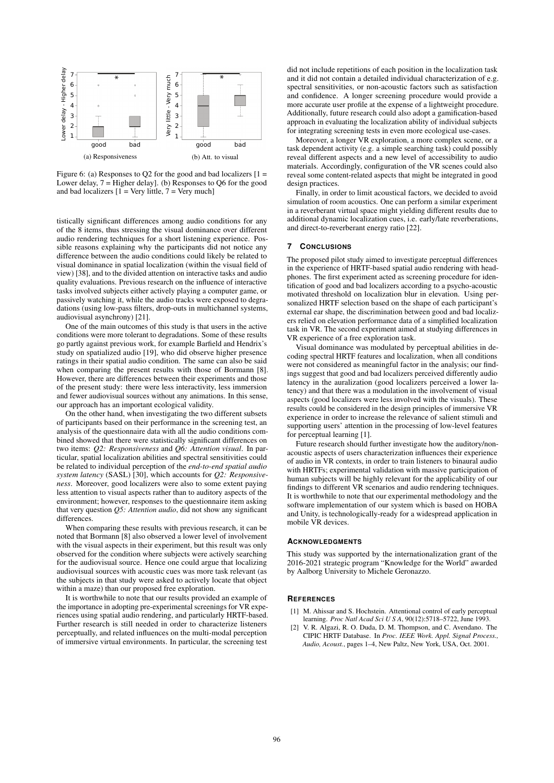

Figure 6: (a) Responses to Q2 for the good and bad localizers  $[1 =$ Lower delay,  $7 =$  Higher delay]. (b) Responses to Q6 for the good and bad localizers  $\overline{1}$  = Very little,  $\overline{7}$  = Very much]

tistically significant differences among audio conditions for any of the 8 items, thus stressing the visual dominance over different audio rendering techniques for a short listening experience. Possible reasons explaining why the participants did not notice any difference between the audio conditions could likely be related to visual dominance in spatial localization (within the visual field of view) [38], and to the divided attention on interactive tasks and audio quality evaluations. Previous research on the influence of interactive tasks involved subjects either actively playing a computer game, or passively watching it, while the audio tracks were exposed to degradations (using low-pass filters, drop-outs in multichannel systems, audiovisual asynchrony) [21].

One of the main outcomes of this study is that users in the active conditions were more tolerant to degradations. Some of these results go partly against previous work, for example Barfield and Hendrix's study on spatialized audio [19], who did observe higher presence ratings in their spatial audio condition. The same can also be said when comparing the present results with those of Bormann [8]. However, there are differences between their experiments and those of the present study: there were less interactivity, less immersion and fewer audiovisual sources without any animations. In this sense, our approach has an important ecological validity.

On the other hand, when investigating the two different subsets of participants based on their performance in the screening test, an analysis of the questionnaire data with all the audio conditions combined showed that there were statistically significant differences on two items: *Q2: Responsiveness* and *Q6: Attention visual*. In particular, spatial localization abilities and spectral sensitivities could be related to individual perception of the *end-to-end spatial audio system latency* (SASL) [30], which accounts for *Q2: Responsiveness*. Moreover, good localizers were also to some extent paying less attention to visual aspects rather than to auditory aspects of the environment; however, responses to the questionnaire item asking that very question *Q5: Attention audio*, did not show any significant differences.

When comparing these results with previous research, it can be noted that Bormann [8] also observed a lower level of involvement with the visual aspects in their experiment, but this result was only observed for the condition where subjects were actively searching for the audiovisual source. Hence one could argue that localizing audiovisual sources with acoustic cues was more task relevant (as the subjects in that study were asked to actively locate that object within a maze) than our proposed free exploration.

It is worthwhile to note that our results provided an example of the importance in adopting pre-experimental screenings for VR experiences using spatial audio rendering, and particularly HRTF-based. Further research is still needed in order to characterize listeners perceptually, and related influences on the multi-modal perception of immersive virtual environments. In particular, the screening test

did not include repetitions of each position in the localization task and it did not contain a detailed individual characterization of e.g. spectral sensitivities, or non-acoustic factors such as satisfaction and confidence. A longer screening procedure would provide a more accurate user profile at the expense of a lightweight procedure. Additionally, future research could also adopt a gamification-based approach in evaluating the localization ability of individual subjects for integrating screening tests in even more ecological use-cases.

Moreover, a longer VR exploration, a more complex scene, or a task dependent activity (e.g. a simple searching task) could possibly reveal different aspects and a new level of accessibility to audio materials. Accordingly, configuration of the VR scenes could also reveal some content-related aspects that might be integrated in good design practices.

Finally, in order to limit acoustical factors, we decided to avoid simulation of room acoustics. One can perform a similar experiment in a reverberant virtual space might yielding different results due to additional dynamic localization cues, i.e. early/late reverberations, and direct-to-reverberant energy ratio [22].

#### **7 CONCLUSIONS**

The proposed pilot study aimed to investigate perceptual differences in the experience of HRTF-based spatial audio rendering with headphones. The first experiment acted as screening procedure for identification of good and bad localizers according to a psycho-acoustic motivated threshold on localization blur in elevation. Using personalized HRTF selection based on the shape of each participant's external ear shape, the discrimination between good and bad localizers relied on elevation performance data of a simplified localization task in VR. The second experiment aimed at studying differences in VR experience of a free exploration task.

Visual dominance was modulated by perceptual abilities in decoding spectral HRTF features and localization, when all conditions were not considered as meaningful factor in the analysis; our findings suggest that good and bad localizers perceived differently audio latency in the auralization (good localizers perceived a lower latency) and that there was a modulation in the involvement of visual aspects (good localizers were less involved with the visuals). These results could be considered in the design principles of immersive VR experience in order to increase the relevance of salient stimuli and supporting users' attention in the processing of low-level features for perceptual learning [1].

Future research should further investigate how the auditory/nonacoustic aspects of users characterization influences their experience of audio in VR contexts, in order to train listeners to binaural audio with HRTFs; experimental validation with massive participation of human subjects will be highly relevant for the applicability of our findings to different VR scenarios and audio rendering techniques. It is worthwhile to note that our experimental methodology and the software implementation of our system which is based on HOBA and Unity, is technologically-ready for a widespread application in mobile VR devices.

#### **ACKNOWLEDGMENTS**

This study was supported by the internationalization grant of the 2016-2021 strategic program "Knowledge for the World" awarded by Aalborg University to Michele Geronazzo.

#### **REFERENCES**

- [1] M. Ahissar and S. Hochstein. Attentional control of early perceptual learning. *Proc Natl Acad SciUSA*, 90(12):5718–5722, June 1993.
- [2] V. R. Algazi, R. O. Duda, D. M. Thompson, and C. Avendano. The CIPIC HRTF Database. In *Proc. IEEE Work. Appl. Signal Process., Audio, Acoust.*, pages 1–4, New Paltz, New York, USA, Oct. 2001.